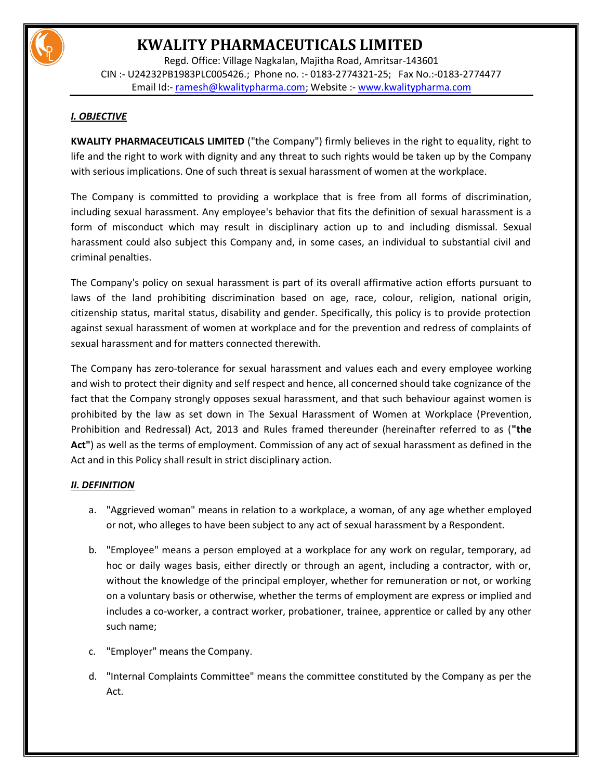

Regd. Office: Village Nagkalan, Majitha Road, Amritsar-143601 CIN :- U24232PB1983PLC005426.; Phone no. :- 0183-2774321-25; Fax No.:-0183-2774477 Email Id:- [ramesh@kwalitypharma.com;](mailto:ramesh@kwalitypharma.com) Website :- [www.kwalitypharma.com](http://www.kwalitypharma.com/)

## *I. OBJECTIVE*

**KWALITY PHARMACEUTICALS LIMITED** ("the Company") firmly believes in the right to equality, right to life and the right to work with dignity and any threat to such rights would be taken up by the Company with serious implications. One of such threat is sexual harassment of women at the workplace.

The Company is committed to providing a workplace that is free from all forms of discrimination, including sexual harassment. Any employee's behavior that fits the definition of sexual harassment is a form of misconduct which may result in disciplinary action up to and including dismissal. Sexual harassment could also subject this Company and, in some cases, an individual to substantial civil and criminal penalties.

The Company's policy on sexual harassment is part of its overall affirmative action efforts pursuant to laws of the land prohibiting discrimination based on age, race, colour, religion, national origin, citizenship status, marital status, disability and gender. Specifically, this policy is to provide protection against sexual harassment of women at workplace and for the prevention and redress of complaints of sexual harassment and for matters connected therewith.

The Company has zero-tolerance for sexual harassment and values each and every employee working and wish to protect their dignity and self respect and hence, all concerned should take cognizance of the fact that the Company strongly opposes sexual harassment, and that such behaviour against women is prohibited by the law as set down in The Sexual Harassment of Women at Workplace (Prevention, Prohibition and Redressal) Act, 2013 and Rules framed thereunder (hereinafter referred to as (**"the Act"**) as well as the terms of employment. Commission of any act of sexual harassment as defined in the Act and in this Policy shall result in strict disciplinary action.

## *II. DEFINITION*

- a. "Aggrieved woman" means in relation to a workplace, a woman, of any age whether employed or not, who alleges to have been subject to any act of sexual harassment by a Respondent.
- b. "Employee" means a person employed at a workplace for any work on regular, temporary, ad hoc or daily wages basis, either directly or through an agent, including a contractor, with or, without the knowledge of the principal employer, whether for remuneration or not, or working on a voluntary basis or otherwise, whether the terms of employment are express or implied and includes a co-worker, a contract worker, probationer, trainee, apprentice or called by any other such name;
- c. "Employer" means the Company.
- d. "Internal Complaints Committee" means the committee constituted by the Company as per the Act.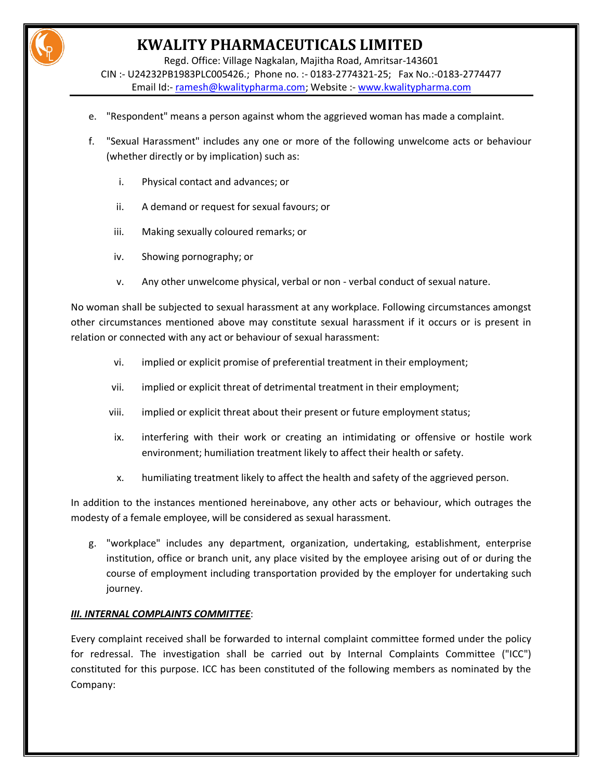Regd. Office: Village Nagkalan, Majitha Road, Amritsar-143601

CIN :- U24232PB1983PLC005426.; Phone no. :- 0183-2774321-25; Fax No.:-0183-2774477 Email Id:- [ramesh@kwalitypharma.com;](mailto:ramesh@kwalitypharma.com) Website :- [www.kwalitypharma.com](http://www.kwalitypharma.com/)

- e. "Respondent" means a person against whom the aggrieved woman has made a complaint.
- f. "Sexual Harassment" includes any one or more of the following unwelcome acts or behaviour (whether directly or by implication) such as:
	- i. Physical contact and advances; or
	- ii. A demand or request for sexual favours; or
	- iii. Making sexually coloured remarks; or
	- iv. Showing pornography; or
	- v. Any other unwelcome physical, verbal or non verbal conduct of sexual nature.

No woman shall be subjected to sexual harassment at any workplace. Following circumstances amongst other circumstances mentioned above may constitute sexual harassment if it occurs or is present in relation or connected with any act or behaviour of sexual harassment:

- vi. implied or explicit promise of preferential treatment in their employment;
- vii. implied or explicit threat of detrimental treatment in their employment;
- viii. implied or explicit threat about their present or future employment status;
- ix. interfering with their work or creating an intimidating or offensive or hostile work environment; humiliation treatment likely to affect their health or safety.
- x. humiliating treatment likely to affect the health and safety of the aggrieved person.

In addition to the instances mentioned hereinabove, any other acts or behaviour, which outrages the modesty of a female employee, will be considered as sexual harassment.

g. "workplace" includes any department, organization, undertaking, establishment, enterprise institution, office or branch unit, any place visited by the employee arising out of or during the course of employment including transportation provided by the employer for undertaking such journey.

## *III. INTERNAL COMPLAINTS COMMITTEE*:

Every complaint received shall be forwarded to internal complaint committee formed under the policy for redressal. The investigation shall be carried out by Internal Complaints Committee ("ICC") constituted for this purpose. ICC has been constituted of the following members as nominated by the Company: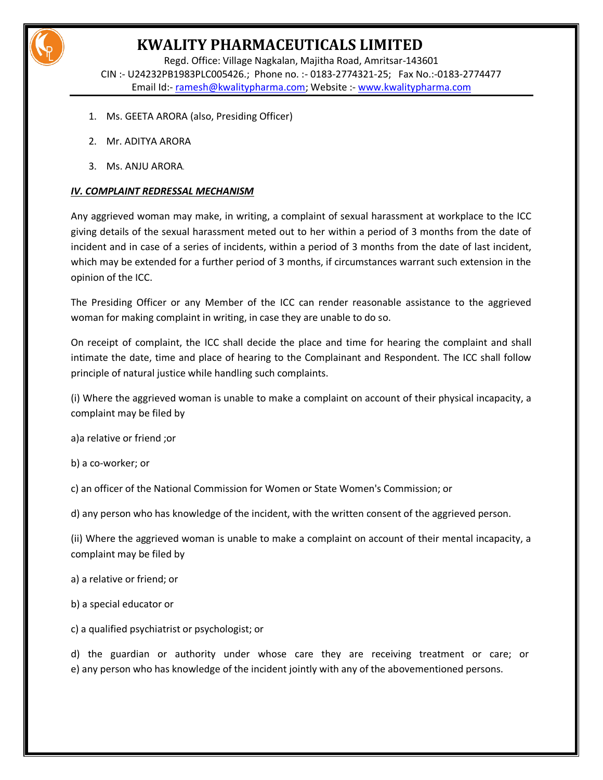

Regd. Office: Village Nagkalan, Majitha Road, Amritsar-143601 CIN :- U24232PB1983PLC005426.; Phone no. :- 0183-2774321-25; Fax No.:-0183-2774477 Email Id:- [ramesh@kwalitypharma.com;](mailto:ramesh@kwalitypharma.com) Website :- [www.kwalitypharma.com](http://www.kwalitypharma.com/)

- 1. Ms. GEETA ARORA (also, Presiding Officer)
- 2. Mr. ADITYA ARORA
- 3. Ms. ANJU ARORA.

### *IV. COMPLAINT REDRESSAL MECHANISM*

Any aggrieved woman may make, in writing, a complaint of sexual harassment at workplace to the ICC giving details of the sexual harassment meted out to her within a period of 3 months from the date of incident and in case of a series of incidents, within a period of 3 months from the date of last incident, which may be extended for a further period of 3 months, if circumstances warrant such extension in the opinion of the ICC.

The Presiding Officer or any Member of the ICC can render reasonable assistance to the aggrieved woman for making complaint in writing, in case they are unable to do so.

On receipt of complaint, the ICC shall decide the place and time for hearing the complaint and shall intimate the date, time and place of hearing to the Complainant and Respondent. The ICC shall follow principle of natural justice while handling such complaints.

(i) Where the aggrieved woman is unable to make a complaint on account of their physical incapacity, a complaint may be filed by

a)a relative or friend ;or

b) a co-worker; or

c) an officer of the National Commission for Women or State Women's Commission; or

d) any person who has knowledge of the incident, with the written consent of the aggrieved person.

(ii) Where the aggrieved woman is unable to make a complaint on account of their mental incapacity, a complaint may be filed by

a) a relative or friend; or

b) a special educator or

c) a qualified psychiatrist or psychologist; or

d) the guardian or authority under whose care they are receiving treatment or care; or e) any person who has knowledge of the incident jointly with any of the abovementioned persons.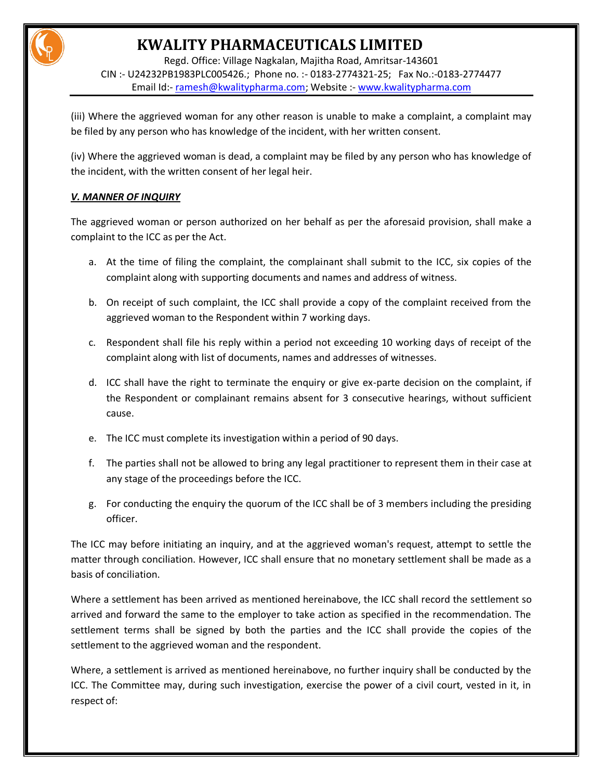Regd. Office: Village Nagkalan, Majitha Road, Amritsar-143601 CIN :- U24232PB1983PLC005426.; Phone no. :- 0183-2774321-25; Fax No.:-0183-2774477 Email Id:- [ramesh@kwalitypharma.com;](mailto:ramesh@kwalitypharma.com) Website :- [www.kwalitypharma.com](http://www.kwalitypharma.com/)

(iii) Where the aggrieved woman for any other reason is unable to make a complaint, a complaint may be filed by any person who has knowledge of the incident, with her written consent.

(iv) Where the aggrieved woman is dead, a complaint may be filed by any person who has knowledge of the incident, with the written consent of her legal heir.

## *V. MANNER OF INQUIRY*

The aggrieved woman or person authorized on her behalf as per the aforesaid provision, shall make a complaint to the ICC as per the Act.

- a. At the time of filing the complaint, the complainant shall submit to the ICC, six copies of the complaint along with supporting documents and names and address of witness.
- b. On receipt of such complaint, the ICC shall provide a copy of the complaint received from the aggrieved woman to the Respondent within 7 working days.
- c. Respondent shall file his reply within a period not exceeding 10 working days of receipt of the complaint along with list of documents, names and addresses of witnesses.
- d. ICC shall have the right to terminate the enquiry or give ex-parte decision on the complaint, if the Respondent or complainant remains absent for 3 consecutive hearings, without sufficient cause.
- e. The ICC must complete its investigation within a period of 90 days.
- f. The parties shall not be allowed to bring any legal practitioner to represent them in their case at any stage of the proceedings before the ICC.
- g. For conducting the enquiry the quorum of the ICC shall be of 3 members including the presiding officer.

The ICC may before initiating an inquiry, and at the aggrieved woman's request, attempt to settle the matter through conciliation. However, ICC shall ensure that no monetary settlement shall be made as a basis of conciliation.

Where a settlement has been arrived as mentioned hereinabove, the ICC shall record the settlement so arrived and forward the same to the employer to take action as specified in the recommendation. The settlement terms shall be signed by both the parties and the ICC shall provide the copies of the settlement to the aggrieved woman and the respondent.

Where, a settlement is arrived as mentioned hereinabove, no further inquiry shall be conducted by the ICC. The Committee may, during such investigation, exercise the power of a civil court, vested in it, in respect of: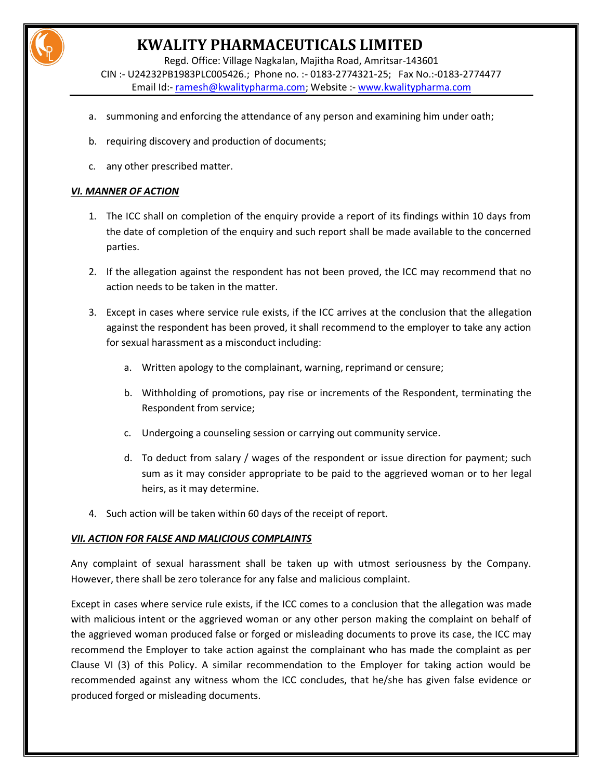

Regd. Office: Village Nagkalan, Majitha Road, Amritsar-143601 CIN :- U24232PB1983PLC005426.; Phone no. :- 0183-2774321-25; Fax No.:-0183-2774477 Email Id:- [ramesh@kwalitypharma.com;](mailto:ramesh@kwalitypharma.com) Website :- [www.kwalitypharma.com](http://www.kwalitypharma.com/)

- a. summoning and enforcing the attendance of any person and examining him under oath;
- b. requiring discovery and production of documents;
- c. any other prescribed matter.

### *VI. MANNER OF ACTION*

- 1. The ICC shall on completion of the enquiry provide a report of its findings within 10 days from the date of completion of the enquiry and such report shall be made available to the concerned parties.
- 2. If the allegation against the respondent has not been proved, the ICC may recommend that no action needs to be taken in the matter.
- 3. Except in cases where service rule exists, if the ICC arrives at the conclusion that the allegation against the respondent has been proved, it shall recommend to the employer to take any action for sexual harassment as a misconduct including:
	- a. Written apology to the complainant, warning, reprimand or censure;
	- b. Withholding of promotions, pay rise or increments of the Respondent, terminating the Respondent from service;
	- c. Undergoing a counseling session or carrying out community service.
	- d. To deduct from salary / wages of the respondent or issue direction for payment; such sum as it may consider appropriate to be paid to the aggrieved woman or to her legal heirs, as it may determine.
- 4. Such action will be taken within 60 days of the receipt of report.

#### *VII. ACTION FOR FALSE AND MALICIOUS COMPLAINTS*

Any complaint of sexual harassment shall be taken up with utmost seriousness by the Company. However, there shall be zero tolerance for any false and malicious complaint.

Except in cases where service rule exists, if the ICC comes to a conclusion that the allegation was made with malicious intent or the aggrieved woman or any other person making the complaint on behalf of the aggrieved woman produced false or forged or misleading documents to prove its case, the ICC may recommend the Employer to take action against the complainant who has made the complaint as per Clause VI (3) of this Policy. A similar recommendation to the Employer for taking action would be recommended against any witness whom the ICC concludes, that he/she has given false evidence or produced forged or misleading documents.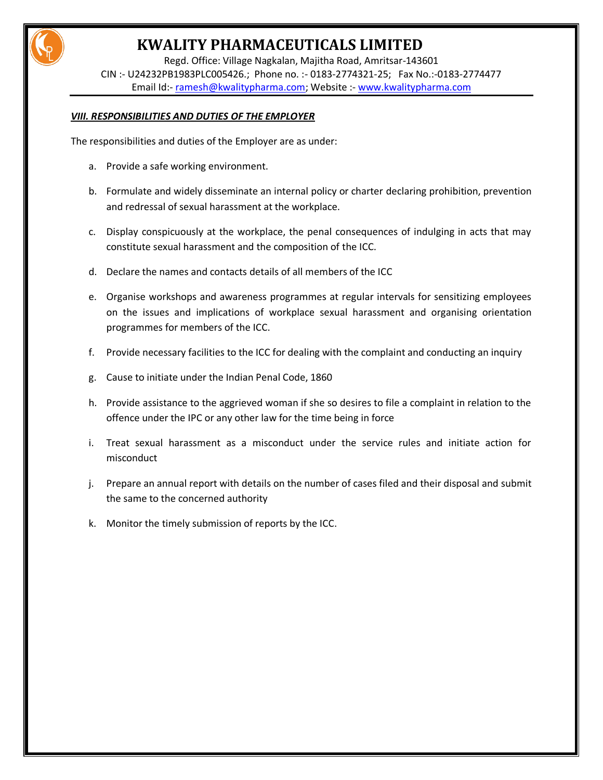Regd. Office: Village Nagkalan, Majitha Road, Amritsar-143601 CIN :- U24232PB1983PLC005426.; Phone no. :- 0183-2774321-25; Fax No.:-0183-2774477 Email Id:- [ramesh@kwalitypharma.com;](mailto:ramesh@kwalitypharma.com) Website :- [www.kwalitypharma.com](http://www.kwalitypharma.com/)

### *VIII. RESPONSIBILITIES AND DUTIES OF THE EMPLOYER*

The responsibilities and duties of the Employer are as under:

- a. Provide a safe working environment.
- b. Formulate and widely disseminate an internal policy or charter declaring prohibition, prevention and redressal of sexual harassment at the workplace.
- c. Display conspicuously at the workplace, the penal consequences of indulging in acts that may constitute sexual harassment and the composition of the ICC.
- d. Declare the names and contacts details of all members of the ICC
- e. Organise workshops and awareness programmes at regular intervals for sensitizing employees on the issues and implications of workplace sexual harassment and organising orientation programmes for members of the ICC.
- f. Provide necessary facilities to the ICC for dealing with the complaint and conducting an inquiry
- g. Cause to initiate under the Indian Penal Code, 1860
- h. Provide assistance to the aggrieved woman if she so desires to file a complaint in relation to the offence under the IPC or any other law for the time being in force
- i. Treat sexual harassment as a misconduct under the service rules and initiate action for misconduct
- j. Prepare an annual report with details on the number of cases filed and their disposal and submit the same to the concerned authority
- k. Monitor the timely submission of reports by the ICC.